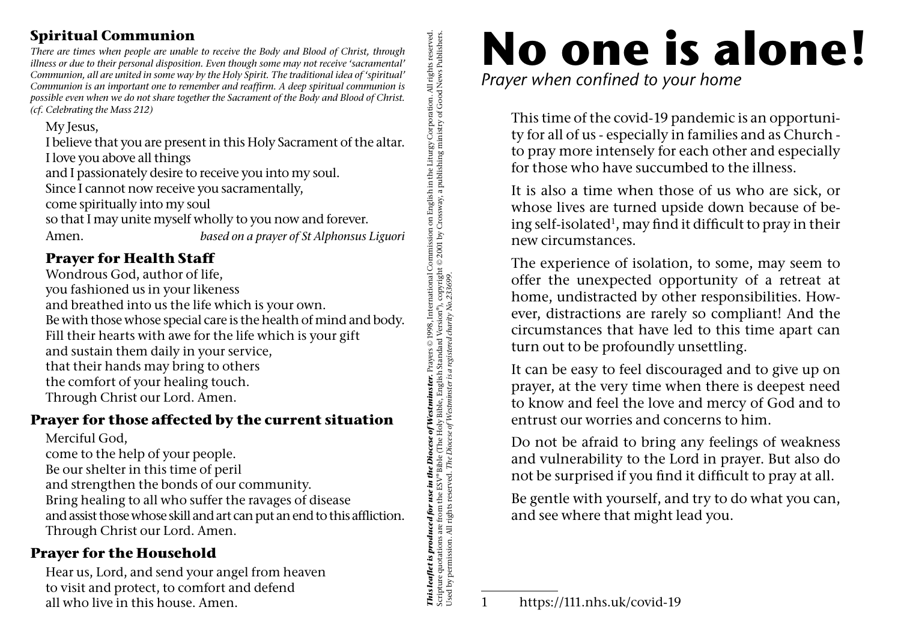### **Spiritual Communion**

*There are times when people are unable to receive the Body and Blood of Christ, through illness or due to their personal disposition. Even though some may not receive 'sacramental' Communion, all are united in some way by the Holy Spirit. The traditional idea of 'spiritual' Communion is an important one to remember and reaffirm. A deep spiritual communion is possible even when we do not share together the Sacrament of the Body and Blood of Christ. (cf. Celebrating the Mass 212)*

My Jesus,

**This leaflet is produced for use in the Diocese of Westminster.** Prayers © 1998, International Commission on English in the Liturgy Corporation. All rights reserved.<br>Scripture quotations are from the ESV® Bible (The Holy *This leaflet is produced for use in the Diocese of Westminster.* Prayers © 1998, International Commission on English in the Liturgy Corporation. All rights reserved. I believe that you are present in this Holy Sacrament of the altar. I love you above all things and I passionately desire to receive you into my soul. Since I cannot now receive you sacramentally, come spiritually into my soul so that I may unite myself wholly to you now and forever. Amen. *based on a prayer of St Alphonsus Liguori* 

## **Prayer for Health Staff**

Wondrous God, author of life, you fashioned us in your likeness and breathed into us the life which is your own. Be with those whose special care is the health of mind and body. Fill their hearts with awe for the life which is your gift and sustain them daily in your service, that their hands may bring to others the comfort of your healing touch. Through Christ our Lord. Amen.

## **Prayer for those affected by the current situation**

Merciful God,

come to the help of your people.

Be our shelter in this time of peril

and strengthen the bonds of our community.

Bring healing to all who suffer the ravages of disease and assist those whose skill and art can put an end to this affliction. Through Christ our Lord. Amen.

## **Prayer for the Household**

Hear us, Lord, and send your angel from heaven to visit and protect, to comfort and defend all who live in this house. Amen.

# **No one is alone!**

*Prayer when confined to your home*

This time of the covid-19 pandemic is an opportunity for all of us - especially in families and as Church to pray more intensely for each other and especially for those who have succumbed to the illness.

It is also a time when those of us who are sick, or whose lives are turned upside down because of being self-isolated<sup>1</sup>, may find it difficult to pray in their new circumstances.

The experience of isolation, to some, may seem to offer the unexpected opportunity of a retreat at home, undistracted by other responsibilities. However, distractions are rarely so compliant! And the circumstances that have led to this time apart can turn out to be profoundly unsettling.

It can be easy to feel discouraged and to give up on prayer, at the very time when there is deepest need to know and feel the love and mercy of God and to entrust our worries and concerns to him.

Do not be afraid to bring any feelings of weakness and vulnerability to the Lord in prayer. But also do not be surprised if you find it difficult to pray at all.

Be gentle with yourself, and try to do what you can, and see where that might lead you.

Scripture quotations are from the ESV® Bible (The Holy Bible, English Standard Version®), copyright © 2001 by Crossway, a publishing ministry of Good News Publishers.

Used by permission. All rights reserved. *The Diocese of Westminster is a registered charity No.233699.* 

<sup>1</sup> https://111.nhs.uk/covid-19